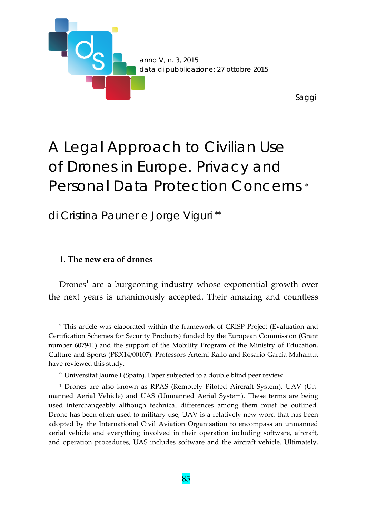

# A Legal Approach to Civilian Use of Drones in Europe. Privacy and Personal Data Protection Concerns \*

di Cristina Pauner e Jorge Viguri \*\*

## **1. The new era of drones**

 $D$ rones<sup>1</sup> are a burgeoning industry whose exponential growth over the next years is unanimously accepted. Their amazing and countless

\* This article was elaborated within the framework of CRISP Project (Evaluation and Certification Schemes for Security Products) funded by the European Commission (Grant number 607941) and the support of the Mobility Program of the Ministry of Education, Culture and Sports (PRX14/00107). Professors Artemi Rallo and Rosario García Mahamut have reviewed this study.

\*\* Universitat Jaume I (Spain). Paper subjected to a double blind peer review.

<sup>1</sup> Drones are also known as RPAS (Remotely Piloted Aircraft System), UAV (Un‐ manned Aerial Vehicle) and UAS (Unmanned Aerial System). These terms are being used interchangeably although technical differences among them must be outlined. Drone has been often used to military use, UAV is a relatively new word that has been adopted by the International Civil Aviation Organisation to encompass an unmanned aerial vehicle and everything involved in their operation including software, aircraft, and operation procedures, UAS includes software and the aircraft vehicle. Ultimately,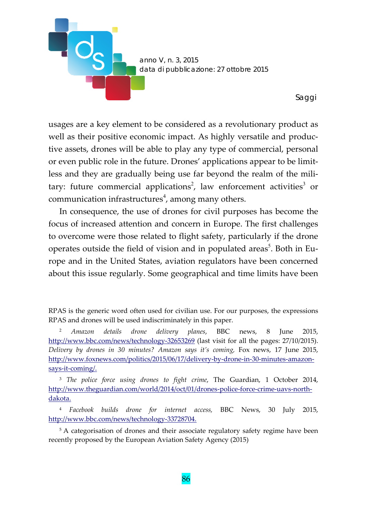

usages are a key element to be considered as a revolutionary product as well as their positive economic impact. As highly versatile and productive assets, drones will be able to play any type of commercial, personal or even public role in the future. Drones' applications appear to be limit‐ less and they are gradually being use far beyond the realm of the military: future commercial applications<sup>2</sup>, law enforcement activities<sup>3</sup> or communication infrastructures<sup>4</sup>, among many others.

In consequence, the use of drones for civil purposes has become the focus of increased attention and concern in Europe. The first challenges to overcome were those related to flight safety, particularly if the drone operates outside the field of vision and in populated areas<sup>5</sup>. Both in Europe and in the United States, aviation regulators have been concerned about this issue regularly. Some geographical and time limits have been

<sup>2</sup> *Amazon details drone delivery planes*, BBC news, 8 June 2015, http://www.bbc.com/news/technology-32653269 (last visit for all the pages: 27/10/2015). *Delivery by drones in 30 minutes? Amazon says it's coming,* Fox news, 17 June 2015, http://www.foxnews.com/politics/2015/06/17/delivery‐by‐drone‐in‐30‐minutes‐amazon‐ says‐it‐coming/.

<sup>3</sup> *The police force using drones to fight crime*, The Guardian, 1 October 2014, http://www.theguardian.com/world/2014/oct/01/drones‐police‐force‐crime‐uavs‐north‐ dakota.

<sup>4</sup> *Facebook builds drone for internet access,* BBC News, 30 July 2015, http://www.bbc.com/news/technology‐33728704.

<sup>5</sup> A categorisation of drones and their associate regulatory safety regime have been recently proposed by the European Aviation Safety Agency (2015)

RPAS is the generic word often used for civilian use. For our purposes, the expressions RPAS and drones will be used indiscriminately in this paper.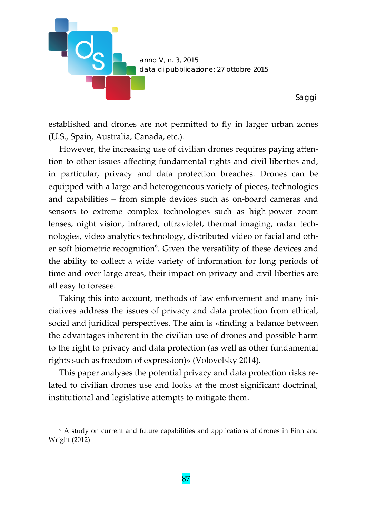

established and drones are not permitted to fly in larger urban zones (U.S., Spain, Australia, Canada, etc.).

However, the increasing use of civilian drones requires paying atten‐ tion to other issues affecting fundamental rights and civil liberties and, in particular, privacy and data protection breaches. Drones can be equipped with a large and heterogeneous variety of pieces, technologies and capabilities – from simple devices such as on‐board cameras and sensors to extreme complex technologies such as high‐power zoom lenses, night vision, infrared, ultraviolet, thermal imaging, radar tech‐ nologies, video analytics technology, distributed video or facial and oth‐ er soft biometric recognition<sup>6</sup>. Given the versatility of these devices and the ability to collect a wide variety of information for long periods of time and over large areas, their impact on privacy and civil liberties are all easy to foresee.

Taking this into account, methods of law enforcement and many ini‐ ciatives address the issues of privacy and data protection from ethical, social and juridical perspectives. The aim is «finding a balance between the advantages inherent in the civilian use of drones and possible harm to the right to privacy and data protection (as well as other fundamental rights such as freedom of expression)» (Volovelsky 2014).

This paper analyses the potential privacy and data protection risks re‐ lated to civilian drones use and looks at the most significant doctrinal, institutional and legislative attempts to mitigate them.

<sup>&</sup>lt;sup>6</sup> A study on current and future capabilities and applications of drones in Finn and Wright (2012)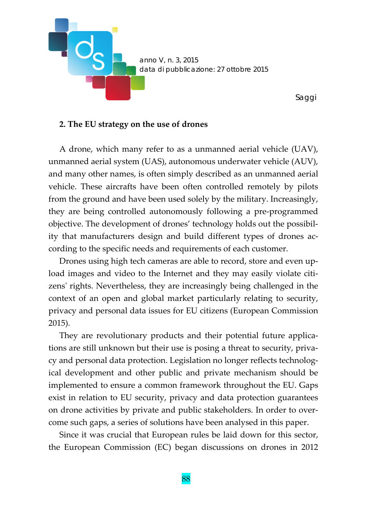

## **2. The EU strategy on the use of drones**

A drone, which many refer to as a unmanned aerial vehicle (UAV), unmanned aerial system (UAS), autonomous underwater vehicle (AUV), and many other names, is often simply described as an unmanned aerial vehicle. These aircrafts have been often controlled remotely by pilots from the ground and have been used solely by the military. Increasingly, they are being controlled autonomously following a pre‐programmed objective. The development of drones' technology holds out the possibil‐ ity that manufacturers design and build different types of drones ac‐ cording to the specific needs and requirements of each customer.

Drones using high tech cameras are able to record, store and even up‐ load images and video to the Internet and they may easily violate citizens' rights. Nevertheless, they are increasingly being challenged in the context of an open and global market particularly relating to security, privacy and personal data issues for EU citizens (European Commission 2015).

They are revolutionary products and their potential future applications are still unknown but their use is posing a threat to security, priva‐ cy and personal data protection. Legislation no longer reflects technological development and other public and private mechanism should be implemented to ensure a common framework throughout the EU. Gaps exist in relation to EU security, privacy and data protection guarantees on drone activities by private and public stakeholders. In order to over‐ come such gaps, a series of solutions have been analysed in this paper.

Since it was crucial that European rules be laid down for this sector, the European Commission (EC) began discussions on drones in 2012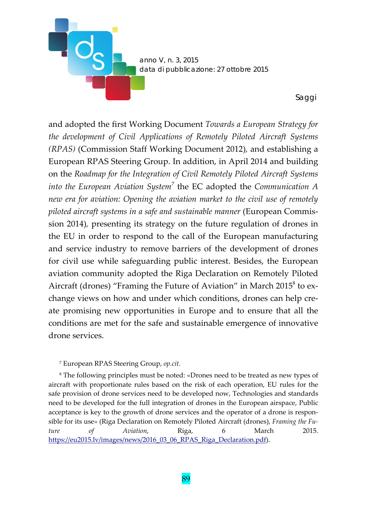

and adopted the first Working Document *Towards a European Strategy for the development of Civil Applications of Remotely Piloted Aircraft Systems (RPAS)* (Commission Staff Working Document 2012)*,* and establishing a European RPAS Steering Group. In addition, in April 2014 and building on the *Roadmap for the Integration of Civil Remotely Piloted Aircraft Systems into the European Aviation System<sup>7</sup>* the EC adopted the *Communication A new era for aviation: Opening the aviation market to the civil use of remotely piloted aircraft systems in a safe and sustainable manner* (European Commis‐ sion 2014)*,* presenting its strategy on the future regulation of drones in the EU in order to respond to the call of the European manufacturing and service industry to remove barriers of the development of drones for civil use while safeguarding public interest. Besides, the European aviation community adopted the Riga Declaration on Remotely Piloted Aircraft (drones) "Framing the Future of Aviation" in March  $2015^8$  to exchange views on how and under which conditions, drones can help create promising new opportunities in Europe and to ensure that all the conditions are met for the safe and sustainable emergence of innovative drone services.

#### <sup>7</sup> European RPAS Steering Group, *op.cit.*

<sup>8</sup> The following principles must be noted: «Drones need to be treated as new types of aircraft with proportionate rules based on the risk of each operation, EU rules for the safe provision of drone services need to be developed now, Technologies and standards need to be developed for the full integration of drones in the European airspace, Public acceptance is key to the growth of drone services and the operator of a drone is responsible for its use» (Riga Declaration on Remotely Piloted Aircraft (drones), *Framing the Fu‐ ture of Aviation*, Riga, 6 March 2015. https://eu2015.lv/images/news/2016\_03\_06\_RPAS\_Riga\_Declaration.pdf).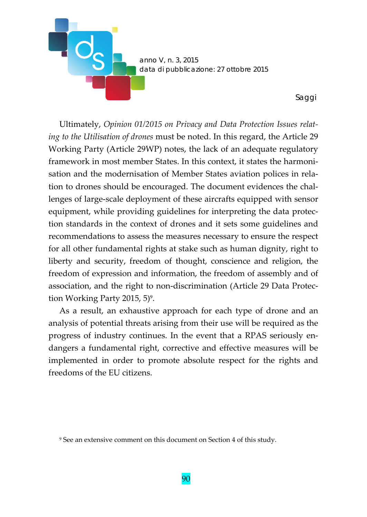

Ultimately, *Opinion 01/2015 on Privacy and Data Protection Issues relat‐ ing to the Utilisation of drones* must be noted. In this regard, the Article 29 Working Party (Article 29WP) notes, the lack of an adequate regulatory framework in most member States. In this context, it states the harmoni‐ sation and the modernisation of Member States aviation polices in rela‐ tion to drones should be encouraged. The document evidences the challenges of large‐scale deployment of these aircrafts equipped with sensor equipment, while providing guidelines for interpreting the data protec‐ tion standards in the context of drones and it sets some guidelines and recommendations to assess the measures necessary to ensure the respect for all other fundamental rights at stake such as human dignity, right to liberty and security, freedom of thought, conscience and religion, the freedom of expression and information, the freedom of assembly and of association, and the right to non‐discrimination (Article 29 Data Protec‐ tion Working Party 2015, 5)<sup>9</sup>.

As a result, an exhaustive approach for each type of drone and an analysis of potential threats arising from their use will be required as the progress of industry continues. In the event that a RPAS seriously en‐ dangers a fundamental right, corrective and effective measures will be implemented in order to promote absolute respect for the rights and freedoms of the EU citizens.

<sup>9</sup> See an extensive comment on this document on Section 4 of this study.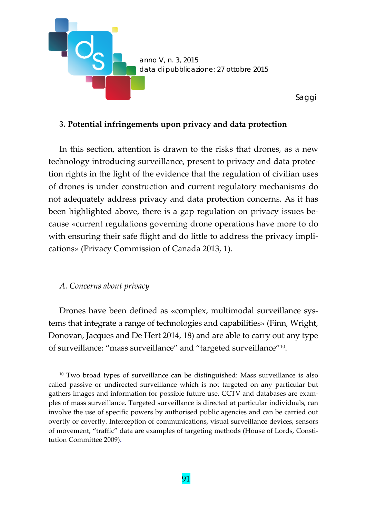

## **3. Potential infringements upon privacy and data protection**

In this section, attention is drawn to the risks that drones, as a new technology introducing surveillance, present to privacy and data protec‐ tion rights in the light of the evidence that the regulation of civilian uses of drones is under construction and current regulatory mechanisms do not adequately address privacy and data protection concerns. As it has been highlighted above, there is a gap regulation on privacy issues be‐ cause «current regulations governing drone operations have more to do with ensuring their safe flight and do little to address the privacy implications» (Privacy Commission of Canada 2013, 1).

#### *A. Concerns about privacy*

Drones have been defined as «complex, multimodal surveillance systems that integrate a range of technologies and capabilities» (Finn, Wright, Donovan, Jacques and De Hert 2014, 18) and are able to carry out any type of surveillance: "mass surveillance" and "targeted surveillance"10.

<sup>10</sup> Two broad types of surveillance can be distinguished: Mass surveillance is also called passive or undirected surveillance which is not targeted on any particular but gathers images and information for possible future use. CCTV and databases are exam‐ ples of mass surveillance. Targeted surveillance is directed at particular individuals, can involve the use of specific powers by authorised public agencies and can be carried out overtly or covertly. Interception of communications, visual surveillance devices, sensors of movement, "traffic" data are examples of targeting methods (House of Lords, Consti‐ tution Committee 2009).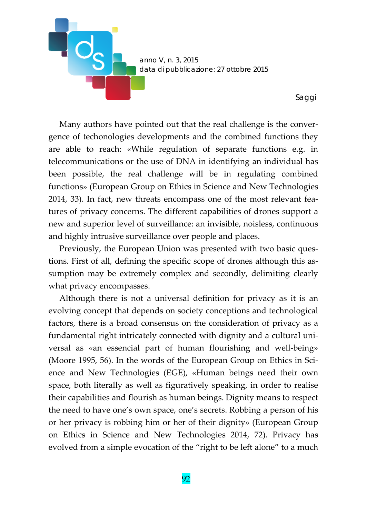

Many authors have pointed out that the real challenge is the conver‐ gence of techonologies developments and the combined functions they are able to reach: «While regulation of separate functions e.g. in telecommunications or the use of DNA in identifying an individual has been possible, the real challenge will be in regulating combined functions» (European Group on Ethics in Science and New Technologies 2014, 33). In fact, new threats encompass one of the most relevant fea‐ tures of privacy concerns. The different capabilities of drones support a new and superior level of surveillance: an invisible, noisless, continuous and highly intrusive surveillance over people and places.

Previously, the European Union was presented with two basic questions. First of all, defining the specific scope of drones although this as‐ sumption may be extremely complex and secondly, delimiting clearly what privacy encompasses.

Although there is not a universal definition for privacy as it is an evolving concept that depends on society conceptions and technological factors, there is a broad consensus on the consideration of privacy as a fundamental right intricately connected with dignity and a cultural uni‐ versal as «an essencial part of human flourishing and well-being» (Moore 1995, 56). In the words of the European Group on Ethics in Sci‐ ence and New Technologies (EGE), «Human beings need their own space, both literally as well as figuratively speaking, in order to realise their capabilities and flourish as human beings. Dignity means to respect the need to have one's own space, one's secrets. Robbing a person of his or her privacy is robbing him or her of their dignity» (European Group on Ethics in Science and New Technologies 2014, 72). Privacy has evolved from a simple evocation of the "right to be left alone" to a much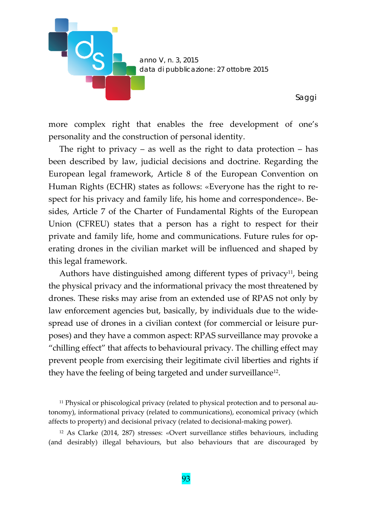

more complex right that enables the free development of one's personality and the construction of personal identity.

The right to privacy – as well as the right to data protection – has been described by law, judicial decisions and doctrine. Regarding the European legal framework, Article 8 of the European Convention on Human Rights (ECHR) states as follows: «Everyone has the right to re‐ spect for his privacy and family life, his home and correspondence». Besides, Article 7 of the Charter of Fundamental Rights of the European Union (CFREU) states that a person has a right to respect for their private and family life, home and communications. Future rules for op‐ erating drones in the civilian market will be influenced and shaped by this legal framework.

Authors have distinguished among different types of privacy<sup>11</sup>, being the physical privacy and the informational privacy the most threatened by drones. These risks may arise from an extended use of RPAS not only by law enforcement agencies but, basically, by individuals due to the wide‐ spread use of drones in a civilian context (for commercial or leisure purposes) and they have a common aspect: RPAS surveillance may provoke a "chilling effect" that affects to behavioural privacy. The chilling effect may prevent people from exercising their legitimate civil liberties and rights if they have the feeling of being targeted and under surveillance12.

<sup>&</sup>lt;sup>11</sup> Physical or phiscological privacy (related to physical protection and to personal autonomy), informational privacy (related to communications), economical privacy (which affects to property) and decisional privacy (related to decisional‐making power).

<sup>12</sup> As Clarke (2014, 287) stresses: «Overt surveillance stifles behaviours, including (and desirably) illegal behaviours, but also behaviours that are discouraged by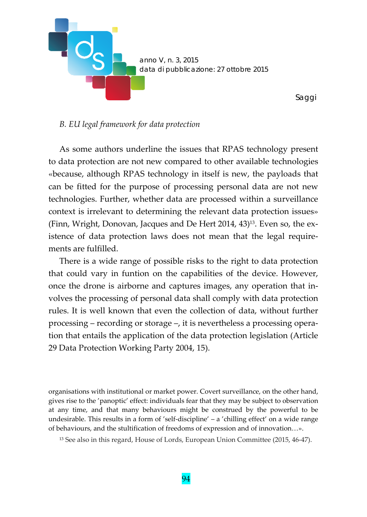

## *B. EU legal framework for data protection*

As some authors underline the issues that RPAS technology present to data protection are not new compared to other available technologies «because, although RPAS technology in itself is new, the payloads that can be fitted for the purpose of processing personal data are not new technologies. Further, whether data are processed within a surveillance context is irrelevant to determining the relevant data protection issues» (Finn, Wright, Donovan, Jacques and De Hert 2014,  $43$ )<sup>13</sup>. Even so, the existence of data protection laws does not mean that the legal require‐ ments are fulfilled.

There is a wide range of possible risks to the right to data protection that could vary in funtion on the capabilities of the device. However, once the drone is airborne and captures images, any operation that in‐ volves the processing of personal data shall comply with data protection rules. It is well known that even the collection of data, without further processing – recording or storage –, it is nevertheless a processing opera‐ tion that entails the application of the data protection legislation (Article 29 Data Protection Working Party 2004, 15).

organisations with institutional or market power. Covert surveillance, on the other hand, gives rise to the 'panoptic' effect: individuals fear that they may be subject to observation at any time, and that many behaviours might be construed by the powerful to be undesirable. This results in a form of 'self-discipline' – a 'chilling effect' on a wide range of behaviours, and the stultification of freedoms of expression and of innovation…».

<sup>13</sup> See also in this regard, House of Lords, European Union Committee (2015, 46‐47).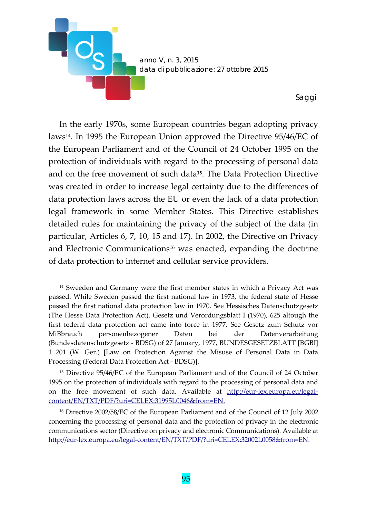

In the early 1970s, some European countries began adopting privacy laws14. In 1995 the European Union approved the Directive 95/46/EC of the European Parliament and of the Council of 24 October 1995 on the protection of individuals with regard to the processing of personal data and on the free movement of such data**15**. The Data Protection Directive was created in order to increase legal certainty due to the differences of data protection laws across the EU or even the lack of a data protection legal framework in some Member States. This Directive establishes detailed rules for maintaining the privacy of the subject of the data (in particular, Articles 6, 7, 10, 15 and 17). In 2002, the Directive on Privacy and Electronic Communications<sup>16</sup> was enacted, expanding the doctrine of data protection to internet and cellular service providers.

<sup>14</sup> Sweeden and Germany were the first member states in which a Privacy Act was passed. While Sweden passed the first national law in 1973, the federal state of Hesse passed the first national data protection law in 1970. See Hessisches Datenschutzgesetz (The Hesse Data Protection Act), Gesetz und Verordungsblatt I (1970), 625 altough the first federal data protection act came into force in 1977. See Gesetz zum Schutz vor MiBbrauch personenbezogener Daten bei der Datenverarbeitung (Bundesdatenschutzgesetz ‐ BDSG) of 27 January, 1977, BUNDESGESETZBLATT [BGBI] 1 201 (W. Ger.) [Law on Protection Against the Misuse of Personal Data in Data Processing (Federal Data Protection Act ‐ BDSG)].

<sup>15</sup> Directive 95/46/EC of the European Parliament and of the Council of 24 October 1995 on the protection of individuals with regard to the processing of personal data and on the free movement of such data. Available at http://eur-lex.europa.eu/legalcontent/EN/TXT/PDF/?uri=CELEX:31995L0046&from=EN.

<sup>16</sup> Directive 2002/58/EC of the European Parliament and of the Council of 12 July 2002 concerning the processing of personal data and the protection of privacy in the electronic communications sector (Directive on privacy and electronic Communications). Available at http://eur-lex.europa.eu/legal-content/EN/TXT/PDF/?uri=CELEX:32002L0058&from=EN.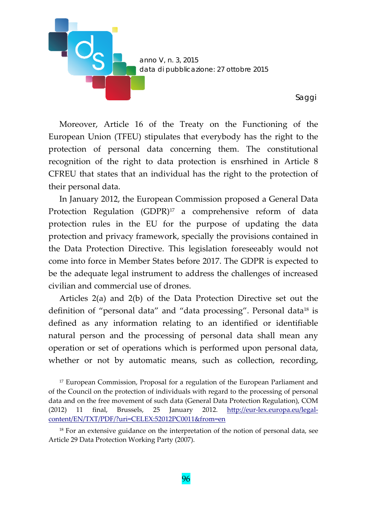

Moreover, Article 16 of the Treaty on the Functioning of the European Union (TFEU) stipulates that everybody has the right to the protection of personal data concerning them. The constitutional recognition of the right to data protection is ensrhined in Article 8 CFREU that states that an individual has the right to the protection of their personal data.

In January 2012, the European Commission proposed a General Data Protection Regulation (GDPR)<sup>17</sup> a comprehensive reform of data protection rules in the EU for the purpose of updating the data protection and privacy framework, specially the provisions contained in the Data Protection Directive. This legislation foreseeably would not come into force in Member States before 2017. The GDPR is expected to be the adequate legal instrument to address the challenges of increased civilian and commercial use of drones.

Articles 2(a) and 2(b) of the Data Protection Directive set out the definition of "personal data" and "data processing". Personal data<sup>18</sup> is defined as any information relating to an identified or identifiable natural person and the processing of personal data shall mean any operation or set of operations which is performed upon personal data, whether or not by automatic means, such as collection, recording,

<sup>&</sup>lt;sup>17</sup> European Commission, Proposal for a regulation of the European Parliament and of the Council on the protection of individuals with regard to the processing of personal data and on the free movement of such data (General Data Protection Regulation), COM (2012) 11 final, Brussels, 25 January 2012. http://eur-lex.europa.eu/legalcontent/EN/TXT/PDF/?uri=CELEX:52012PC0011&from=en

<sup>&</sup>lt;sup>18</sup> For an extensive guidance on the interpretation of the notion of personal data, see Article 29 Data Protection Working Party (2007).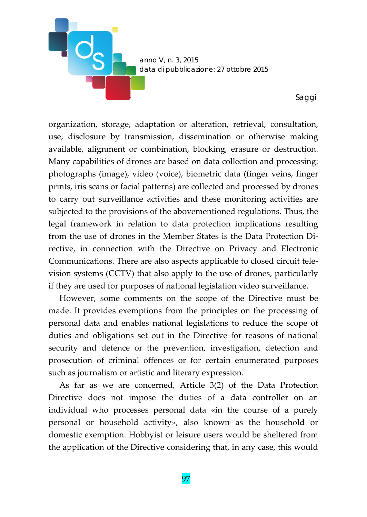

organization, storage, adaptation or alteration, retrieval, consultation, use, disclosure by transmission, dissemination or otherwise making available, alignment or combination, blocking, erasure or destruction. Many capabilities of drones are based on data collection and processing: photographs (image), video (voice), biometric data (finger veins, finger prints, iris scans or facial patterns) are collected and processed by drones to carry out surveillance activities and these monitoring activities are subjected to the provisions of the abovementioned regulations. Thus, the legal framework in relation to data protection implications resulting from the use of drones in the Member States is the Data Protection Di‐ rective, in connection with the Directive on Privacy and Electronic Communications. There are also aspects applicable to closed circuit tele‐ vision systems (CCTV) that also apply to the use of drones, particularly if they are used for purposes of national legislation video surveillance.

However, some comments on the scope of the Directive must be made. It provides exemptions from the principles on the processing of personal data and enables national legislations to reduce the scope of duties and obligations set out in the Directive for reasons of national security and defence or the prevention, investigation, detection and prosecution of criminal offences or for certain enumerated purposes such as journalism or artistic and literary expression.

As far as we are concerned, Article 3(2) of the Data Protection Directive does not impose the duties of a data controller on an individual who processes personal data «in the course of a purely personal or household activity», also known as the household or domestic exemption. Hobbyist or leisure users would be sheltered from the application of the Directive considering that, in any case, this would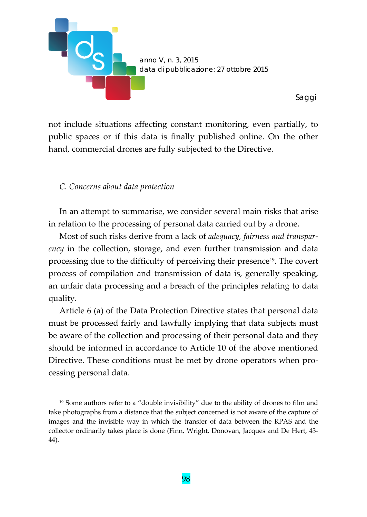

not include situations affecting constant monitoring, even partially, to public spaces or if this data is finally published online. On the other hand, commercial drones are fully subjected to the Directive.

## *C. Concerns about data protection*

In an attempt to summarise, we consider several main risks that arise in relation to the processing of personal data carried out by a drone.

Most of such risks derive from a lack of *adequacy, fairness and transpar‐ ency* in the collection, storage, and even further transmission and data processing due to the difficulty of perceiving their presence<sup>19</sup>. The covert process of compilation and transmission of data is, generally speaking, an unfair data processing and a breach of the principles relating to data quality.

Article 6 (a) of the Data Protection Directive states that personal data must be processed fairly and lawfully implying that data subjects must be aware of the collection and processing of their personal data and they should be informed in accordance to Article 10 of the above mentioned Directive. These conditions must be met by drone operators when pro‐ cessing personal data.

<sup>19</sup> Some authors refer to a "double invisibility" due to the ability of drones to film and take photographs from a distance that the subject concerned is not aware of the capture of images and the invisible way in which the transfer of data between the RPAS and the collector ordinarily takes place is done (Finn, Wright, Donovan, Jacques and De Hert, 43‐ 44).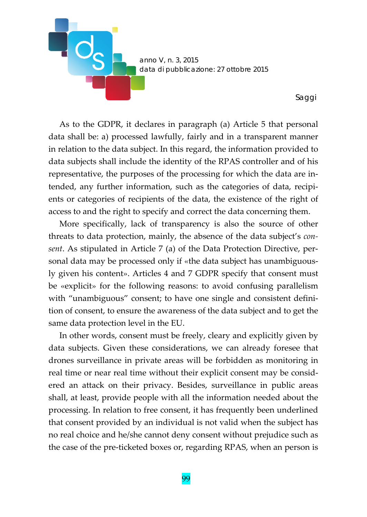

As to the GDPR, it declares in paragraph (a) Article 5 that personal data shall be: a) processed lawfully, fairly and in a transparent manner in relation to the data subject. In this regard, the information provided to data subjects shall include the identity of the RPAS controller and of his representative, the purposes of the processing for which the data are in‐ tended, any further information, such as the categories of data, recipients or categories of recipients of the data, the existence of the right of access to and the right to specify and correct the data concerning them.

More specifically, lack of transparency is also the source of other threats to data protection, mainly, the absence of the data subject's *con‐ sent*. As stipulated in Article 7 (a) of the Data Protection Directive, per‐ sonal data may be processed only if «the data subject has unambiguously given his content». Articles 4 and 7 GDPR specify that consent must be «explicit» for the following reasons: to avoid confusing parallelism with "unambiguous" consent; to have one single and consistent definition of consent, to ensure the awareness of the data subject and to get the same data protection level in the EU.

In other words, consent must be freely, cleary and explicitly given by data subjects. Given these considerations, we can already foresee that drones surveillance in private areas will be forbidden as monitoring in real time or near real time without their explicit consent may be consid‐ ered an attack on their privacy. Besides, surveillance in public areas shall, at least, provide people with all the information needed about the processing. In relation to free consent, it has frequently been underlined that consent provided by an individual is not valid when the subject has no real choice and he/she cannot deny consent without prejudice such as the case of the pre‐ticketed boxes or, regarding RPAS, when an person is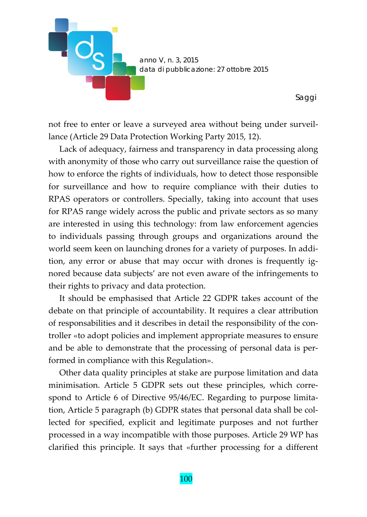

not free to enter or leave a surveyed area without being under surveil‐ lance (Article 29 Data Protection Working Party 2015, 12).

Lack of adequacy, fairness and transparency in data processing along with anonymity of those who carry out surveillance raise the question of how to enforce the rights of individuals, how to detect those responsible for surveillance and how to require compliance with their duties to RPAS operators or controllers. Specially, taking into account that uses for RPAS range widely across the public and private sectors as so many are interested in using this technology: from law enforcement agencies to individuals passing through groups and organizations around the world seem keen on launching drones for a variety of purposes. In addition, any error or abuse that may occur with drones is frequently ig‐ nored because data subjects' are not even aware of the infringements to their rights to privacy and data protection.

It should be emphasised that Article 22 GDPR takes account of the debate on that principle of accountability. It requires a clear attribution of responsabilities and it describes in detail the responsibility of the con‐ troller «to adopt policies and implement appropriate measures to ensure and be able to demonstrate that the processing of personal data is per‐ formed in compliance with this Regulation».

Other data quality principles at stake are purpose limitation and data minimisation. Article 5 GDPR sets out these principles, which correspond to Article 6 of Directive 95/46/EC. Regarding to purpose limitation, Article 5 paragraph (b) GDPR states that personal data shall be col‐ lected for specified, explicit and legitimate purposes and not further processed in a way incompatible with those purposes. Article 29 WP has clarified this principle. It says that «further processing for a different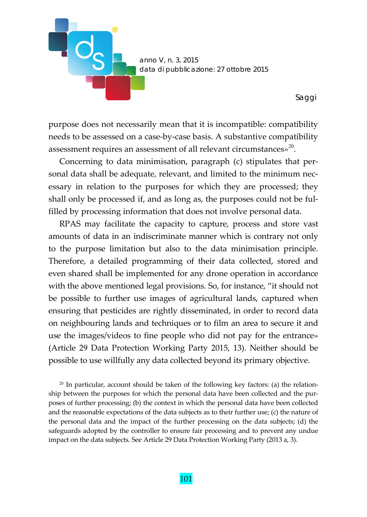

purpose does not necessarily mean that it is incompatible: compatibility needs to be assessed on a case‐by‐case basis. A substantive compatibility assessment requires an assessment of all relevant circumstances»<sup>20</sup>.

Concerning to data minimisation, paragraph (c) stipulates that per‐ sonal data shall be adequate, relevant, and limited to the minimum nec‐ essary in relation to the purposes for which they are processed; they shall only be processed if, and as long as, the purposes could not be ful‐ filled by processing information that does not involve personal data.

RPAS may facilitate the capacity to capture, process and store vast amounts of data in an indiscriminate manner which is contrary not only to the purpose limitation but also to the data minimisation principle. Therefore, a detailed programming of their data collected, stored and even shared shall be implemented for any drone operation in accordance with the above mentioned legal provisions. So, for instance, "it should not be possible to further use images of agricultural lands, captured when ensuring that pesticides are rightly disseminated, in order to record data on neighbouring lands and techniques or to film an area to secure it and use the images/videos to fine people who did not pay for the entrance» (Article 29 Data Protection Working Party 2015, 13). Neither should be possible to use willfully any data collected beyond its primary objective.

 $20$  In particular, account should be taken of the following key factors: (a) the relationship between the purposes for which the personal data have been collected and the purposes of further processing; (b) the context in which the personal data have been collected and the reasonable expectations of the data subjects as to their further use; (c) the nature of the personal data and the impact of the further processing on the data subjects; (d) the safeguards adopted by the controller to ensure fair processing and to prevent any undue impact on the data subjects. See Article 29 Data Protection Working Party (2013 a, 3).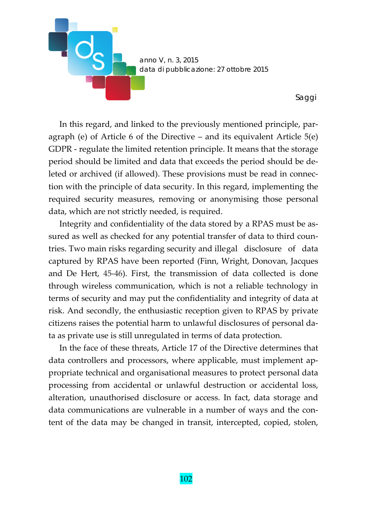

In this regard, and linked to the previously mentioned principle, paragraph (e) of Article 6 of the Directive – and its equivalent Article 5(e) GDPR ‐ regulate the limited retention principle. It means that the storage period should be limited and data that exceeds the period should be de‐ leted or archived (if allowed). These provisions must be read in connec‐ tion with the principle of data security. In this regard, implementing the required security measures, removing or anonymising those personal data, which are not strictly needed, is required.

Integrity and confidentiality of the data stored by a RPAS must be as‐ sured as well as checked for any potential transfer of data to third countries. Two main risks regarding security and illegal disclosure of data captured by RPAS have been reported (Finn, Wright, Donovan, Jacques and De Hert, 45‐46). First, the transmission of data collected is done through wireless communication, which is not a reliable technology in terms of security and may put the confidentiality and integrity of data at risk. And secondly, the enthusiastic reception given to RPAS by private citizens raises the potential harm to unlawful disclosures of personal da‐ ta as private use is still unregulated in terms of data protection.

In the face of these threats, Article 17 of the Directive determines that data controllers and processors, where applicable, must implement ap‐ propriate technical and organisational measures to protect personal data processing from accidental or unlawful destruction or accidental loss, alteration, unauthorised disclosure or access. In fact, data storage and data communications are vulnerable in a number of ways and the con‐ tent of the data may be changed in transit, intercepted, copied, stolen,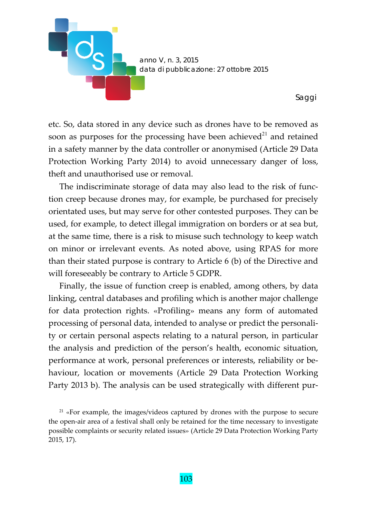

etc. So, data stored in any device such as drones have to be removed as soon as purposes for the processing have been achieved $2<sup>1</sup>$  and retained in a safety manner by the data controller or anonymised (Article 29 Data Protection Working Party 2014) to avoid unnecessary danger of loss, theft and unauthorised use or removal.

The indiscriminate storage of data may also lead to the risk of function creep because drones may, for example, be purchased for precisely orientated uses, but may serve for other contested purposes. They can be used, for example, to detect illegal immigration on borders or at sea but, at the same time, there is a risk to misuse such technology to keep watch on minor or irrelevant events. As noted above, using RPAS for more than their stated purpose is contrary to Article 6 (b) of the Directive and will foreseeably be contrary to Article 5 GDPR.

Finally, the issue of function creep is enabled, among others, by data linking, central databases and profiling which is another major challenge for data protection rights. «Profiling» means any form of automated processing of personal data, intended to analyse or predict the personali‐ ty or certain personal aspects relating to a natural person, in particular the analysis and prediction of the person's health, economic situation, performance at work, personal preferences or interests, reliability or be‐ haviour, location or movements (Article 29 Data Protection Working Party 2013 b). The analysis can be used strategically with different pur‐

<sup>21</sup> «For example, the images/videos captured by drones with the purpose to secure the open‐air area of a festival shall only be retained for the time necessary to investigate possible complaints or security related issues» (Article 29 Data Protection Working Party 2015, 17).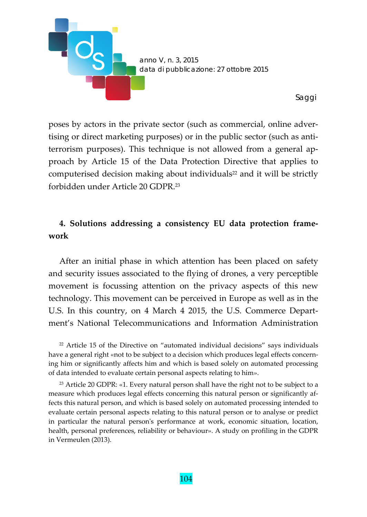

poses by actors in the private sector (such as commercial, online adver‐ tising or direct marketing purposes) or in the public sector (such as anti‐ terrorism purposes). This technique is not allowed from a general ap‐ proach by Article 15 of the Data Protection Directive that applies to computerised decision making about individuals<sup>22</sup> and it will be strictly forbidden under Article 20 GDPR.23

# **4. Solutions addressing a consistency EU data protection frame‐ work**

After an initial phase in which attention has been placed on safety and security issues associated to the flying of drones, a very perceptible movement is focussing attention on the privacy aspects of this new technology. This movement can be perceived in Europe as well as in the U.S. In this country, on 4 March 4 2015, the U.S. Commerce Depart‐ ment's National Telecommunications and Information Administration

<sup>22</sup> Article 15 of the Directive on "automated individual decisions" says individuals have a general right «not to be subject to a decision which produces legal effects concerning him or significantly affects him and which is based solely on automated processing of data intended to evaluate certain personal aspects relating to him».

<sup>23</sup> Article 20 GDPR: «1. Every natural person shall have the right not to be subject to a measure which produces legal effects concerning this natural person or significantly af‐ fects this natural person, and which is based solely on automated processing intended to evaluate certain personal aspects relating to this natural person or to analyse or predict in particular the natural personʹs performance at work, economic situation, location, health, personal preferences, reliability or behaviour». A study on profiling in the GDPR in Vermeulen (2013).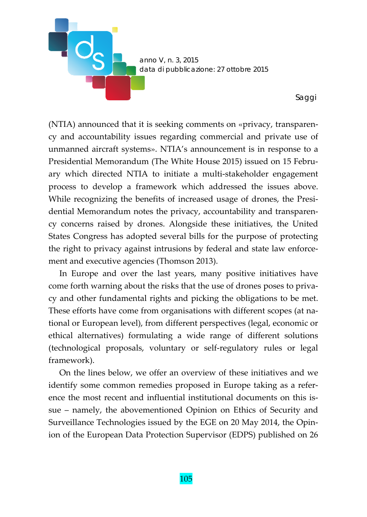

(NTIA) announced that it is seeking comments on «privacy, transparen‐ cy and accountability issues regarding commercial and private use of unmanned aircraft systems». NTIA's announcement is in response to a Presidential Memorandum (The White House 2015) issued on 15 Febru‐ ary which directed NTIA to initiate a multi‐stakeholder engagement process to develop a framework which addressed the issues above. While recognizing the benefits of increased usage of drones, the Presidential Memorandum notes the privacy, accountability and transparen‐ cy concerns raised by drones. Alongside these initiatives, the United States Congress has adopted several bills for the purpose of protecting the right to privacy against intrusions by federal and state law enforce‐ ment and executive agencies (Thomson 2013).

In Europe and over the last years, many positive initiatives have come forth warning about the risks that the use of drones poses to priva‐ cy and other fundamental rights and picking the obligations to be met. These efforts have come from organisations with different scopes (at na‐ tional or European level), from different perspectives (legal, economic or ethical alternatives) formulating a wide range of different solutions (technological proposals, voluntary or self‐regulatory rules or legal framework).

On the lines below, we offer an overview of these initiatives and we identify some common remedies proposed in Europe taking as a refer‐ ence the most recent and influential institutional documents on this is‐ sue – namely, the abovementioned Opinion on Ethics of Security and Surveillance Technologies issued by the EGE on 20 May 2014, the Opin‐ ion of the European Data Protection Supervisor (EDPS) published on 26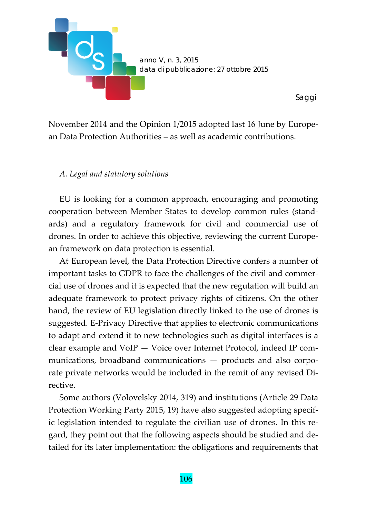

November 2014 and the Opinion 1/2015 adopted last 16 June by Europe‐ an Data Protection Authorities – as well as academic contributions.

## *A. Legal and statutory solutions*

EU is looking for a common approach, encouraging and promoting cooperation between Member States to develop common rules (stand‐ ards) and a regulatory framework for civil and commercial use of drones. In order to achieve this objective, reviewing the current Europe‐ an framework on data protection is essential.

At European level, the Data Protection Directive confers a number of important tasks to GDPR to face the challenges of the civil and commercial use of drones and it is expected that the new regulation will build an adequate framework to protect privacy rights of citizens. On the other hand, the review of EU legislation directly linked to the use of drones is suggested. E‐Privacy Directive that applies to electronic communications to adapt and extend it to new technologies such as digital interfaces is a clear example and VoIP — Voice over Internet Protocol, indeed IP com‐ munications, broadband communications — products and also corporate private networks would be included in the remit of any revised Di‐ rective.

Some authors (Volovelsky 2014, 319) and institutions (Article 29 Data Protection Working Party 2015, 19) have also suggested adopting specif‐ ic legislation intended to regulate the civilian use of drones. In this re‐ gard, they point out that the following aspects should be studied and de‐ tailed for its later implementation: the obligations and requirements that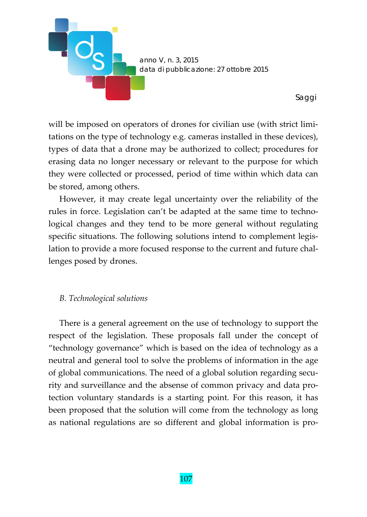

will be imposed on operators of drones for civilian use (with strict limitations on the type of technology e.g. cameras installed in these devices), types of data that a drone may be authorized to collect; procedures for erasing data no longer necessary or relevant to the purpose for which they were collected or processed, period of time within which data can be stored, among others.

However, it may create legal uncertainty over the reliability of the rules in force. Legislation can't be adapted at the same time to technological changes and they tend to be more general without regulating specific situations. The following solutions intend to complement legislation to provide a more focused response to the current and future chal‐ lenges posed by drones.

# *B. Technological solutions*

There is a general agreement on the use of technology to support the respect of the legislation. These proposals fall under the concept of "technology governance" which is based on the idea of technology as a neutral and general tool to solve the problems of information in the age of global communications. The need of a global solution regarding secu‐ rity and surveillance and the absense of common privacy and data pro‐ tection voluntary standards is a starting point. For this reason, it has been proposed that the solution will come from the technology as long as national regulations are so different and global information is pro‐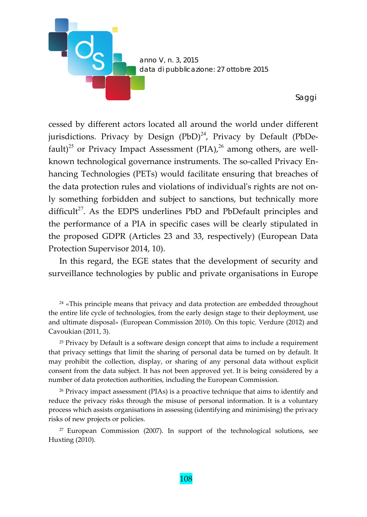

cessed by different actors located all around the world under different jurisdictions. Privacy by Design  $(PbD)^{24}$ , Privacy by Default (PbDefault)<sup>25</sup> or Privacy Impact Assessment (PIA),<sup>26</sup> among others, are wellknown technological governance instruments. The so-called Privacy Enhancing Technologies (PETs) would facilitate ensuring that breaches of the data protection rules and violations of individual's rights are not only something forbidden and subject to sanctions, but technically more difficult<sup>27</sup>. As the EDPS underlines PbD and PbDefault principles and the performance of a PIA in specific cases will be clearly stipulated in the proposed GDPR (Articles 23 and 33, respectively) (European Data Protection Supervisor 2014, 10).

In this regard, the EGE states that the development of security and surveillance technologies by public and private organisations in Europe

<sup>24</sup> «This principle means that privacy and data protection are embedded throughout the entire life cycle of technologies, from the early design stage to their deployment, use and ultimate disposal» (European Commission 2010). On this topic, Verdure (2012) and Cavoukian (2011, 3).

<sup>25</sup> Privacy by Default is a software design concept that aims to include a requirement that privacy settings that limit the sharing of personal data be turned on by default. It may prohibit the collection, display, or sharing of any personal data without explicit consent from the data subject. It has not been approved yet. It is being considered by a number of data protection authorities, including the European Commission.

<sup>26</sup> Privacy impact assessment (PIAs) is a proactive technique that aims to identify and reduce the privacy risks through the misuse of personal information. It is a voluntary process which assists organisations in assessing (identifying and minimising) the privacy risks of new projects or policies.

<sup>27</sup> European Commission (2007). In support of the technological solutions, see Huxting (2010).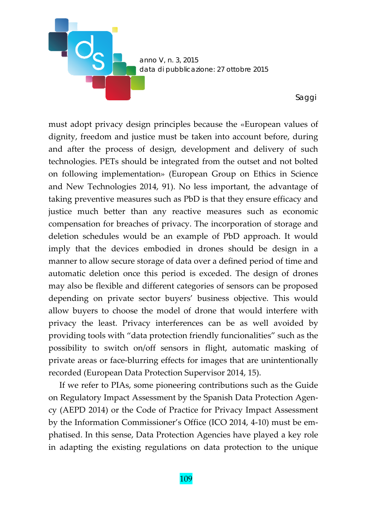*anno V, n. 3, 2015 data di pubblicazione: 27 ottobre 2015* 

**DOS** 

*Saggi* 

must adopt privacy design principles because the «European values of dignity, freedom and justice must be taken into account before, during and after the process of design, development and delivery of such technologies. PETs should be integrated from the outset and not bolted on following implementation» (European Group on Ethics in Science and New Technologies 2014, 91). No less important, the advantage of taking preventive measures such as PbD is that they ensure efficacy and justice much better than any reactive measures such as economic compensation for breaches of privacy. The incorporation of storage and deletion schedules would be an example of PbD approach. It would imply that the devices embodied in drones should be design in a manner to allow secure storage of data over a defined period of time and automatic deletion once this period is exceded. The design of drones may also be flexible and different categories of sensors can be proposed depending on private sector buyers' business objective. This would allow buyers to choose the model of drone that would interfere with privacy the least. Privacy interferences can be as well avoided by providing tools with "data protection friendly funcionalities" such as the possibility to switch on/off sensors in flight, automatic masking of private areas or face‐blurring effects for images that are unintentionally recorded (European Data Protection Supervisor 2014, 15).

If we refer to PIAs, some pioneering contributions such as the Guide on Regulatory Impact Assessment by the Spanish Data Protection Agen‐ cy (AEPD 2014) or the Code of Practice for Privacy Impact Assessment by the Information Commissioner's Office (ICO 2014, 4‐10) must be em‐ phatised. In this sense, Data Protection Agencies have played a key role in adapting the existing regulations on data protection to the unique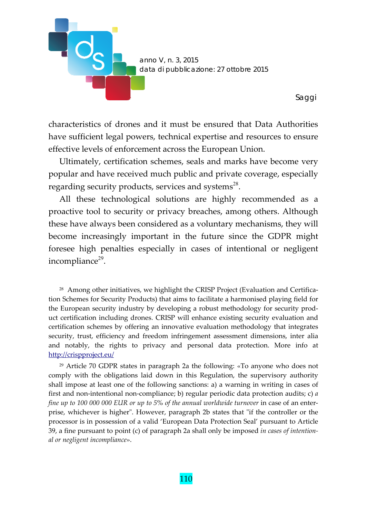

characteristics of drones and it must be ensured that Data Authorities have sufficient legal powers, technical expertise and resources to ensure effective levels of enforcement across the European Union.

Ultimately, certification schemes, seals and marks have become very popular and have received much public and private coverage, especially regarding security products, services and systems $28$ .

All these technological solutions are highly recommended as a proactive tool to security or privacy breaches, among others. Although these have always been considered as a voluntary mechanisms, they will become increasingly important in the future since the GDPR might foresee high penalties especially in cases of intentional or negligent incompliance $29$ .

<sup>28</sup> Among other initiatives, we highlight the CRISP Project (Evaluation and Certification Schemes for Security Products) that aims to facilitate a harmonised playing field for the European security industry by developing a robust methodology for security prod‐ uct certification including drones. CRISP will enhance existing security evaluation and certification schemes by offering an innovative evaluation methodology that integrates security, trust, efficiency and freedom infringement assessment dimensions, inter alia and notably, the rights to privacy and personal data protection. More info at http://crispproject.eu/

<sup>29</sup> Article 70 GDPR states in paragraph 2a the following: «To anyone who does not comply with the obligations laid down in this Regulation, the supervisory authority shall impose at least one of the following sanctions: a) a warning in writing in cases of first and non‐intentional non‐compliance; b) regular periodic data protection audits; c) *a fine up to 100 000 000 EUR or up to 5% of the annual worldwide turnover* in case of an enter‐ prise, whichever is higher". However, paragraph 2b states that "if the controller or the processor is in possession of a valid 'European Data Protection Seal' pursuant to Article 39, a fine pursuant to point (c) of paragraph 2a shall only be imposed *in cases of intention‐ al or negligent incompliance*».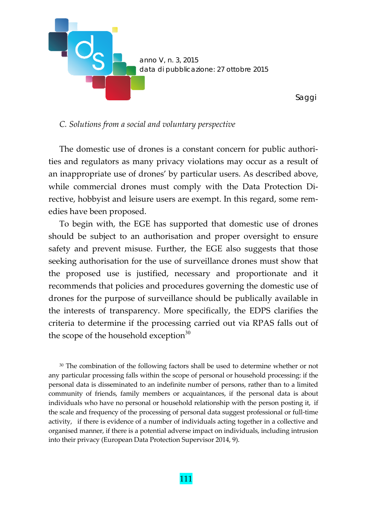

#### *C. Solutions from a social and voluntary perspective*

The domestic use of drones is a constant concern for public authorities and regulators as many privacy violations may occur as a result of an inappropriate use of drones' by particular users. As described above, while commercial drones must comply with the Data Protection Directive, hobbyist and leisure users are exempt. In this regard, some rem‐ edies have been proposed.

To begin with, the EGE has supported that domestic use of drones should be subject to an authorisation and proper oversight to ensure safety and prevent misuse. Further, the EGE also suggests that those seeking authorisation for the use of surveillance drones must show that the proposed use is justified, necessary and proportionate and it recommends that policies and procedures governing the domestic use of drones for the purpose of surveillance should be publically available in the interests of transparency. More specifically, the EDPS clarifies the criteria to determine if the processing carried out via RPAS falls out of the scope of the household exception $30$ 

<sup>30</sup> The combination of the following factors shall be used to determine whether or not any particular processing falls within the scope of personal or household processing: if the personal data is disseminated to an indefinite number of persons, rather than to a limited community of friends, family members or acquaintances, if the personal data is about individuals who have no personal or household relationship with the person posting it, if the scale and frequency of the processing of personal data suggest professional or full‐time activity, if there is evidence of a number of individuals acting together in a collective and organised manner, if there is a potential adverse impact on individuals, including intrusion into their privacy (European Data Protection Supervisor 2014, 9).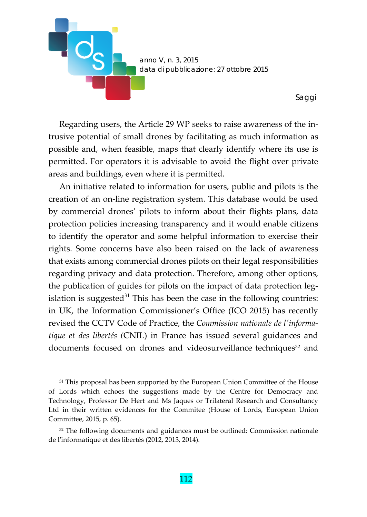

Regarding users, the Article 29 WP seeks to raise awareness of the in‐ trusive potential of small drones by facilitating as much information as possible and, when feasible, maps that clearly identify where its use is permitted. For operators it is advisable to avoid the flight over private areas and buildings, even where it is permitted.

An initiative related to information for users, public and pilots is the creation of an on‐line registration system. This database would be used by commercial drones' pilots to inform about their flights plans, data protection policies increasing transparency and it would enable citizens to identify the operator and some helpful information to exercise their rights. Some concerns have also been raised on the lack of awareness that exists among commercial drones pilots on their legal responsibilities regarding privacy and data protection. Therefore, among other options, the publication of guides for pilots on the impact of data protection leg‐ islation is suggested $31$  This has been the case in the following countries: in UK, the Information Commissioner's Office (ICO 2015) has recently revised the CCTV Code of Practice, the *Commission nationale de lʹinforma‐ tique et des libertés (*CNIL) in France has issued several guidances and documents focused on drones and videosurveillance techniques<sup>32</sup> and

<sup>31</sup> This proposal has been supported by the European Union Committee of the House of Lords which echoes the suggestions made by the Centre for Democracy and Technology, Professor De Hert and Ms Jaques or Trilateral Research and Consultancy Ltd in their written evidences for the Commitee (House of Lords, European Union Committee, 2015, p. 65).

<sup>32</sup> The following documents and guidances must be outlined: Commission nationale de lʹinformatique et des libertés (2012, 2013, 2014)*.*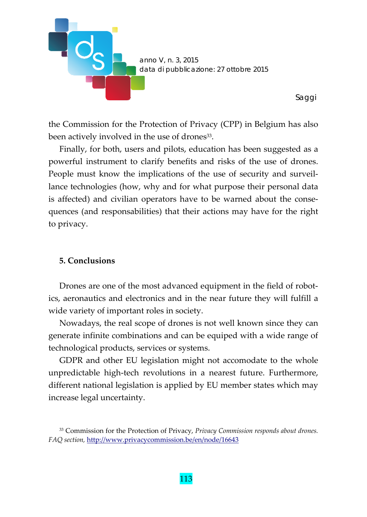

the Commission for the Protection of Privacy (CPP) in Belgium has also been actively involved in the use of drones<sup>33</sup>.

Finally, for both, users and pilots, education has been suggested as a powerful instrument to clarify benefits and risks of the use of drones. People must know the implications of the use of security and surveil‐ lance technologies (how, why and for what purpose their personal data is affected) and civilian operators have to be warned about the consequences (and responsabilities) that their actions may have for the right to privacy.

## **5. Conclusions**

Drones are one of the most advanced equipment in the field of robot– ics, aeronautics and electronics and in the near future they will fulfill a wide variety of important roles in society.

Nowadays, the real scope of drones is not well known since they can generate infinite combinations and can be equiped with a wide range of technological products, services or systems.

GDPR and other EU legislation might not accomodate to the whole unpredictable high‐tech revolutions in a nearest future. Furthermore, different national legislation is applied by EU member states which may increase legal uncertainty.

<sup>33</sup> Commission for the Protection of Privacy, *Privacy Commission responds about drones. FAQ section,* http://www.privacycommission.be/en/node/16643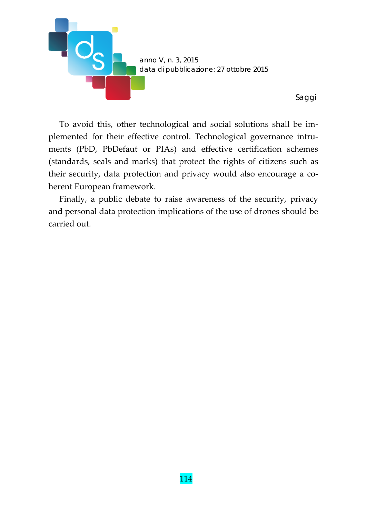

To avoid this, other technological and social solutions shall be im‐ plemented for their effective control. Technological governance intruments (PbD, PbDefaut or PIAs) and effective certification schemes (standards, seals and marks) that protect the rights of citizens such as their security, data protection and privacy would also encourage a co‐ herent European framework.

*Saggi* 

Finally, a public debate to raise awareness of the security, privacy and personal data protection implications of the use of drones should be carried out.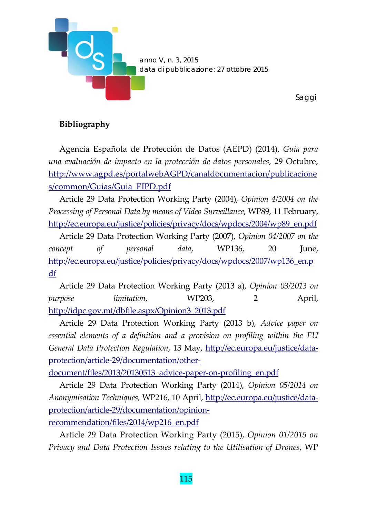

*Saggi* 

# **Bibliography**

Agencia Española de Protección de Datos (AEPD) (2014), *Guía para una evaluación de impacto en la protección de datos personales*, 29 Octubre, http://www.agpd.es/portalwebAGPD/canaldocumentacion/publicacione s/common/Guias/Guia\_EIPD.pdf

Article 29 Data Protection Working Party (2004), *Opinion 4/2004 on the Processing of Personal Data by means of Video Surveillance*, WP89, 11 February, http://ec.europa.eu/justice/policies/privacy/docs/wpdocs/2004/wp89\_en.pdf

Article 29 Data Protection Working Party (2007), *Opinion 04/2007 on the concept of personal data*, WP136, 20 June, http://ec.europa.eu/justice/policies/privacy/docs/wpdocs/2007/wp136\_en.p df

Article 29 Data Protection Working Party (2013 a), *Opinion 03/2013 on purpose limitation*, WP203, 2 April, http://idpc.gov.mt/dbfile.aspx/Opinion3\_2013.pdf

Article 29 Data Protection Working Party (2013 b), *Advice paper on essential elements of a definition and a provision on profiling within the EU General Data Protection Regulation*, 13 May, http://ec.europa.eu/justice/data‐ protection/article‐29/documentation/other‐

document/files/2013/20130513\_advice-paper-on-profiling\_en.pdf

Article 29 Data Protection Working Party (2014), *Opinion 05/2014 on Anonymisation Techniques,* WP216, 10 April, http://ec.europa.eu/justice/data‐ protection/article‐29/documentation/opinion‐

recommendation/files/2014/wp216\_en.pdf

Article 29 Data Protection Working Party (2015), *Opinion 01/2015 on Privacy and Data Protection Issues relating to the Utilisation of Drones*, WP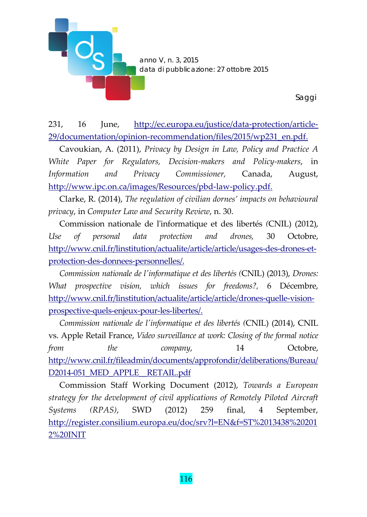

231, 16 June, http://ec.europa.eu/justice/data‐protection/article‐ 29/documentation/opinion-recommendation/files/2015/wp231\_en.pdf.

Cavoukian, A. (2011), *Privacy by Design in Law, Policy and Practice A White Paper for Regulators, Decision‐makers and Policy‐makers*, in *Information and Privacy Commissioner,* Canada, August, http://www.ipc.on.ca/images/Resources/pbd‐law‐policy.pdf.

Clarke, R. (2014), *The regulation of civilian dornes' impacts on behavioural privacy*, in *Computer Law and Security Review*, n. 30.

Commission nationale de lʹinformatique et des libertés *(*CNIL) (2012), *Use of personal data protection and drones,* 30 Octobre, http://www.cnil.fr/linstitution/actualite/article/article/usages‐des‐drones‐et‐ protection‐des‐donnees‐personnelles/.

*Commission nationale de lʹinformatique et des libertés (*CNIL) (2013), *Drones: What prospective vision, which issues for freedoms?,* 6 Décembre, http://www.cnil.fr/linstitution/actualite/article/article/drones-quelle-visionprospective‐quels‐enjeux‐pour‐les‐libertes/.

*Commission nationale de lʹinformatique et des libertés (*CNIL) (2014), CNIL vs. Apple Retail France, *Video surveillance at work: Closing of the formal notice from the company*, 14 Octobre, http://www.cnil.fr/fileadmin/documents/approfondir/deliberations/Bureau/ D2014-051 MED APPLE RETAIL.pdf

Commission Staff Working Document (2012), *Towards a European strategy for the development of civil applications of Remotely Piloted Aircraft Systems (RPAS)*, SWD (2012) 259 final, 4 September, http://register.consilium.europa.eu/doc/srv?l=EN&f=ST%2013438%20201 2%20INIT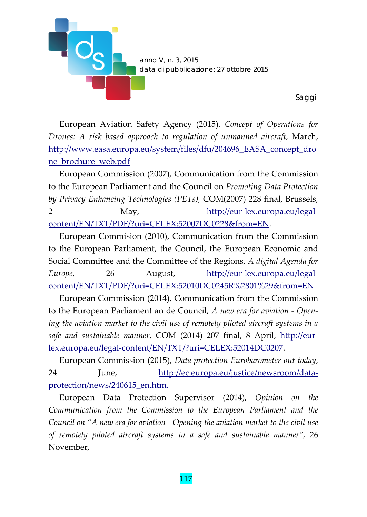

European Aviation Safety Agency (2015), *Concept of Operations for Drones: A risk based approach to regulation of unmanned aircraft,* March, http://www.easa.europa.eu/system/files/dfu/204696\_EASA\_concept\_dro ne\_brochure\_web.pdf

European Commission (2007), Communication from the Commission to the European Parliament and the Council on *Promoting Data Protection by Privacy Enhancing Technologies (PETs),* COM(2007) 228 final, Brussels, 2 May, http://eur-lex.europa.eu/legalcontent/EN/TXT/PDF/?uri=CELEX:52007DC0228&from=EN.

European Commision (2010), Communication from the Commission to the European Parliament, the Council, the European Economic and Social Committee and the Committee of the Regions, *A digital Agenda for Europe*, 26 August, http://eur‐lex.europa.eu/legal‐ content/EN/TXT/PDF/?uri=CELEX:52010DC0245R%2801%29&from=EN

European Commission (2014), Communication from the Commission to the European Parliament an de Council, *A new era for aviation ‐ Open‐ ing the aviation market to the civil use of remotely piloted aircraft systems in a safe and sustainable manner*, COM (2014) 207 final, 8 April, http://eur‐ lex.europa.eu/legal‐content/EN/TXT/?uri=CELEX:52014DC0207.

European Commission (2015), *Data protection Eurobarometer out today*, 24 June, http://ec.europa.eu/justice/newsroom/dataprotection/news/240615\_en.htm.

European Data Protection Supervisor (2014), *Opinion on the Communication from the Commission to the European Parliament and the Council on "A new era for aviation ‐ Opening the aviation market to the civil use of remotely piloted aircraft systems in a safe and sustainable manner",* 26 November,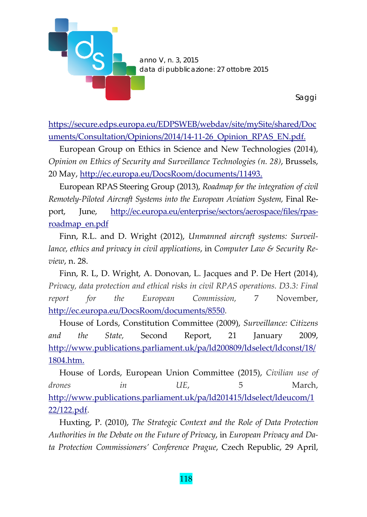

https://secure.edps.europa.eu/EDPSWEB/webdav/site/mySite/shared/Doc uments/Consultation/Opinions/2014/14-11-26 Opinion RPAS EN.pdf.

European Group on Ethics in Science and New Technologies (2014), *Opinion on Ethics of Security and Surveillance Technologies (n. 28)*, Brussels, 20 May, http://ec.europa.eu/DocsRoom/documents/11493.

European RPAS Steering Group (2013), *Roadmap for the integration of civil Remotely‐Piloted Aircraft Systems into the European Aviation System,* Final Re‐ port, June, http://ec.europa.eu/enterprise/sectors/aerospace/files/rpas‐ roadmap\_en.pdf

Finn, R.L. and D. Wright (2012), *Unmanned aircraft systems: Surveil‐ lance, ethics and privacy in civil applications*, in *Computer Law & Security Re‐ view*, n. 28.

Finn, R. L, D. Wright, A. Donovan, L. Jacques and P. De Hert (2014), *Privacy, data protection and ethical risks in civil RPAS operations. D3.3: Final report for the European Commission,* 7 November, http://ec.europa.eu/DocsRoom/documents/8550.

House of Lords, Constitution Committee (2009), *Surveillance: Citizens and the State,* Second Report, 21 January 2009, http://www.publications.parliament.uk/pa/ld200809/ldselect/ldconst/18/ 1804.htm.

House of Lords, European Union Committee (2015), *Civilian use of drones in UE*, 5 March, http://www.publications.parliament.uk/pa/ld201415/ldselect/ldeucom/1 22/122.pdf.

Huxting, P. (2010), *The Strategic Context and the Role of Data Protection Authorities in the Debate on the Future of Privacy*, in *European Privacy and Da‐ ta Protection Commissioners' Conference Prague*, Czech Republic, 29 April,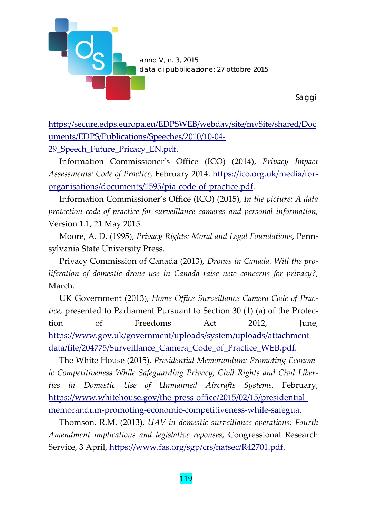

https://secure.edps.europa.eu/EDPSWEB/webdav/site/mySite/shared/Doc uments/EDPS/Publications/Speeches/2010/10‐04‐

29 Speech Future Pricacy EN.pdf.

Information Commissioner's Office (ICO) (2014), *Privacy Impact Assessments: Code of Practice,* February 2014. https://ico.org.uk/media/for‐ organisations/documents/1595/pia‐code‐of‐practice.pdf.

Information Commissioner's Office (ICO) (2015), *In the picture: A data protection code of practice for surveillance cameras and personal information,* Version 1.1, 21 May 2015.

Moore, A. D. (1995), *Privacy Rights: Moral and Legal Foundations*, Penn‐ sylvania State University Press.

Privacy Commission of Canada (2013), *Drones in Canada. Will the pro‐ liferation of domestic drone use in Canada raise new concerns for privacy?,* March.

UK Government (2013), *Home Office Surveillance Camera Code of Prac‐ tice,* presented to Parliament Pursuant to Section 30 (1) (a) of the Protec‐ tion of Freedoms Act 2012, June, https://www.gov.uk/government/uploads/system/uploads/attachment\_ data/file/204775/Surveillance Camera Code of Practice WEB.pdf.

The White House (2015), *Presidential Memorandum: Promoting Econom‐ ic Competitiveness While Safeguarding Privacy, Civil Rights and Civil Liber‐ ties in Domestic Use of Unmanned Aircrafts Systems,* February, https://www.whitehouse.gov/the-press-office/2015/02/15/presidentialmemorandum‐promoting‐economic‐competitiveness‐while‐safegua.

Thomson, R.M. (2013), *UAV in domestic surveillance operations: Fourth Amendment implications and legislative reponses*, Congressional Research Service, 3 April, https://www.fas.org/sgp/crs/natsec/R42701.pdf.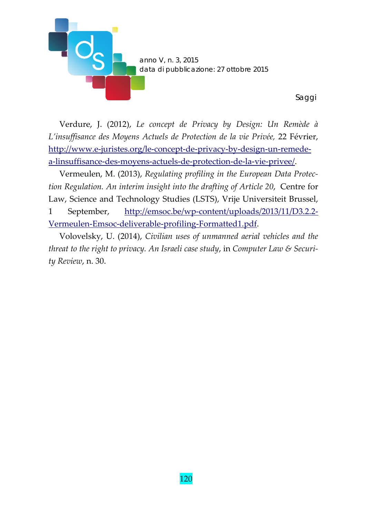

Verdure, J. (2012), *Le concept de Privacy by Design: Un Remède à L'insuffisance des Moyens Actuels de Protection de la vie Privée,* 22 Février, http://www.e‐juristes.org/le‐concept‐de‐privacy‐by‐design‐un‐remede‐ a‐linsuffisance‐des‐moyens‐actuels‐de‐protection‐de‐la‐vie‐privee/.

Vermeulen, M. (2013), *Regulating profiling in the European Data Protec‐ tion Regulation. An interim insight into the drafting of Article 20*, Centre for Law, Science and Technology Studies (LSTS), Vrije Universiteit Brussel, 1 September, http://emsoc.be/wp-content/uploads/2013/11/D3.2.2-Vermeulen‐Emsoc‐deliverable‐profiling‐Formatted1.pdf.

Volovelsky, U. (2014), *Civilian uses of unmanned aerial vehicles and the threat to the right to privacy. An Israeli case study*, in *Computer Law & Securi‐ ty Review*, n. 30.